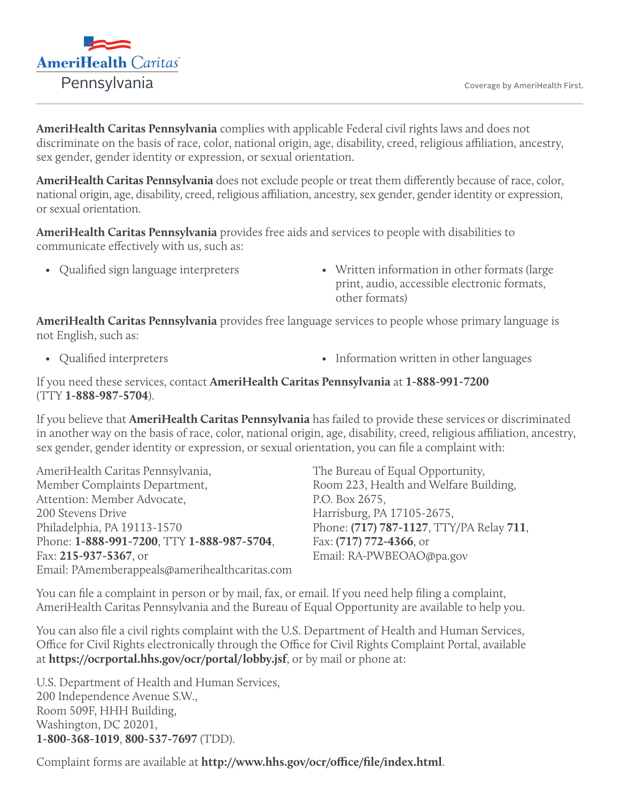

**AmeriHealth Caritas Pennsylvania** complies with applicable Federal civil rights laws and does not discriminate on the basis of race, color, national origin, age, disability, creed, religious affiliation, ancestry, sex gender, gender identity or expression, or sexual orientation.

**AmeriHealth Caritas Pennsylvania** does not exclude people or treat them differently because of race, color, national origin, age, disability, creed, religious affiliation, ancestry, sex gender, gender identity or expression, or sexual orientation.

**AmeriHealth Caritas Pennsylvania** provides free aids and services to people with disabilities to communicate effectively with us, such as:

- 
- Qualified sign language interpreters Written information in other formats (large print, audio, accessible electronic formats, other formats)

**AmeriHealth Caritas Pennsylvania** provides free language services to people whose primary language is not English, such as:

- 
- Qualified interpreters Information written in other languages

## If you need these services, contact **AmeriHealth Caritas Pennsylvania** at **1-888-991-7200** (TTY **1-888-987-5704**).

If you believe that **AmeriHealth Caritas Pennsylvania** has failed to provide these services or discriminated in another way on the basis of race, color, national origin, age, disability, creed, religious affiliation, ancestry, sex gender, gender identity or expression, or sexual orientation, you can file a complaint with:

AmeriHealth Caritas Pennsylvania, Member Complaints Department, Attention: Member Advocate, 200 Stevens Drive Philadelphia, PA 19113-1570 Phone: **1-888-991-7200**, TTY **1-888-987-5704**, Fax: **215-937-5367**, or Email: PAmemberappeals@amerihealthcaritas.com The Bureau of Equal Opportunity, Room 223, Health and Welfare Building, P.O. Box 2675, Harrisburg, PA 17105-2675, Phone: **(717) 787-1127**, TTY/PA Relay **711**, Fax: **(717) 772-4366**, or Email: RA-PWBEOAO@pa.gov

You can file a complaint in person or by mail, fax, or email. If you need help filing a complaint, AmeriHealth Caritas Pennsylvania and the Bureau of Equal Opportunity are available to help you.

You can also file a civil rights complaint with the U.S. Department of Health and Human Services, Office for Civil Rights electronically through the Office for Civil Rights Complaint Portal, available at **https://ocrportal.hhs.gov/ocr/portal/lobby.jsf**, or by mail or phone at:

U.S. Department of Health and Human Services, 200 Independence Avenue S.W., Room 509F, HHH Building, Washington, DC 20201, **1-800-368-1019**, **800-537-7697** (TDD).

Complaint forms are available at **http://www.hhs.gov/ocr/office/file/index.html**.